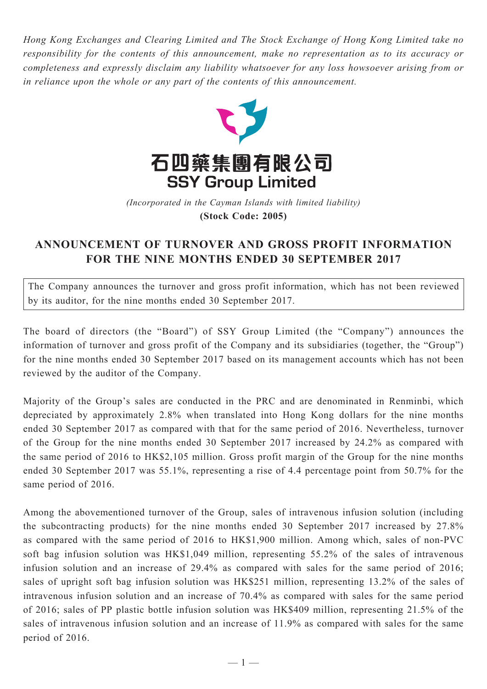*Hong Kong Exchanges and Clearing Limited and The Stock Exchange of Hong Kong Limited take no responsibility for the contents of this announcement, make no representation as to its accuracy or completeness and expressly disclaim any liability whatsoever for any loss howsoever arising from or in reliance upon the whole or any part of the contents of this announcement.*



(Incorporated in the Cayman Islands with limited liability) **(Stock Code: 2005)** *(Incorporated in the Cayman Islands with limited liability)* **(Stock Code: 2005)**

## **ANNOUNCEMENT OF TURNOVER AND GROSS PROFIT INFORMATION FOR THE NINE MONTHS ENDED 30 SEPTEMBER 2017**

The Company announces the turnover and gross profit information, which has not been reviewed by its auditor, for the nine months ended 30 September 2017.

The board of directors (the "Board") of SSY Group Limited (the "Company") announces the information of turnover and gross profit of the Company and its subsidiaries (together, the "Group") for the nine months ended 30 September 2017 based on its management accounts which has not been reviewed by the auditor of the Company.

Majority of the Group's sales are conducted in the PRC and are denominated in Renminbi, which depreciated by approximately 2.8% when translated into Hong Kong dollars for the nine months ended 30 September 2017 as compared with that for the same period of 2016. Nevertheless, turnover of the Group for the nine months ended 30 September 2017 increased by 24.2% as compared with the same period of 2016 to HK\$2,105 million. Gross profit margin of the Group for the nine months ended 30 September 2017 was 55.1%, representing a rise of 4.4 percentage point from 50.7% for the same period of 2016.

Among the abovementioned turnover of the Group, sales of intravenous infusion solution (including the subcontracting products) for the nine months ended 30 September 2017 increased by 27.8% as compared with the same period of 2016 to HK\$1,900 million. Among which, sales of non-PVC soft bag infusion solution was HK\$1,049 million, representing 55.2% of the sales of intravenous infusion solution and an increase of 29.4% as compared with sales for the same period of 2016; sales of upright soft bag infusion solution was HK\$251 million, representing 13.2% of the sales of intravenous infusion solution and an increase of 70.4% as compared with sales for the same period of 2016; sales of PP plastic bottle infusion solution was HK\$409 million, representing 21.5% of the sales of intravenous infusion solution and an increase of 11.9% as compared with sales for the same period of 2016.